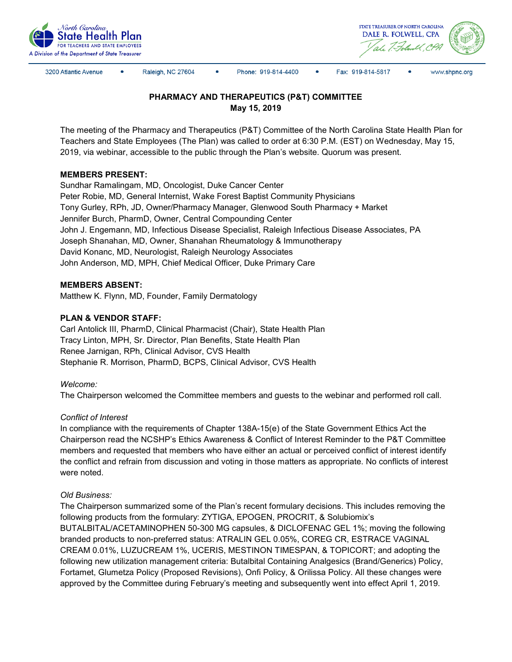



3200 Atlantic Avenue

Raleigh, NC 27604

Phone: 919-814-4400

 $\bullet$ Fax: 919-814-5817 www.shpnc.org

# **PHARMACY AND THERAPEUTICS (P&T) COMMITTEE May 15, 2019**

The meeting of the Pharmacy and Therapeutics (P&T) Committee of the North Carolina State Health Plan for Teachers and State Employees (The Plan) was called to order at 6:30 P.M. (EST) on Wednesday, May 15, 2019, via webinar, accessible to the public through the Plan's website. Quorum was present.

## **MEMBERS PRESENT:**

Sundhar Ramalingam, MD, Oncologist, Duke Cancer Center Peter Robie, MD, General Internist, Wake Forest Baptist Community Physicians Tony Gurley, RPh, JD, Owner/Pharmacy Manager, Glenwood South Pharmacy + Market Jennifer Burch, PharmD, Owner, Central Compounding Center John J. Engemann, MD, Infectious Disease Specialist, Raleigh Infectious Disease Associates, PA Joseph Shanahan, MD, Owner, Shanahan Rheumatology & Immunotherapy David Konanc, MD, Neurologist, Raleigh Neurology Associates John Anderson, MD, MPH, Chief Medical Officer, Duke Primary Care

## **MEMBERS ABSENT:**

Matthew K. Flynn, MD, Founder, Family Dermatology

## **PLAN & VENDOR STAFF:**

Carl Antolick III, PharmD, Clinical Pharmacist (Chair), State Health Plan Tracy Linton, MPH, Sr. Director, Plan Benefits, State Health Plan Renee Jarnigan, RPh, Clinical Advisor, CVS Health Stephanie R. Morrison, PharmD, BCPS, Clinical Advisor, CVS Health

### *Welcome:*

The Chairperson welcomed the Committee members and guests to the webinar and performed roll call.

### *Conflict of Interest*

In compliance with the requirements of Chapter 138A-15(e) of the State Government Ethics Act the Chairperson read the NCSHP's Ethics Awareness & Conflict of Interest Reminder to the P&T Committee members and requested that members who have either an actual or perceived conflict of interest identify the conflict and refrain from discussion and voting in those matters as appropriate. No conflicts of interest were noted.

### *Old Business:*

The Chairperson summarized some of the Plan's recent formulary decisions. This includes removing the following products from the formulary: ZYTIGA, EPOGEN, PROCRIT, & Solubiomix's BUTALBITAL/ACETAMINOPHEN 50-300 MG capsules, & DICLOFENAC GEL 1%; moving the following branded products to non-preferred status: ATRALIN GEL 0.05%, COREG CR, ESTRACE VAGINAL CREAM 0.01%, LUZUCREAM 1%, UCERIS, MESTINON TIMESPAN, & TOPICORT; and adopting the following new utilization management criteria: Butalbital Containing Analgesics (Brand/Generics) Policy, Fortamet, Glumetza Policy (Proposed Revisions), Onfi Policy, & Orilissa Policy. All these changes were approved by the Committee during February's meeting and subsequently went into effect April 1, 2019.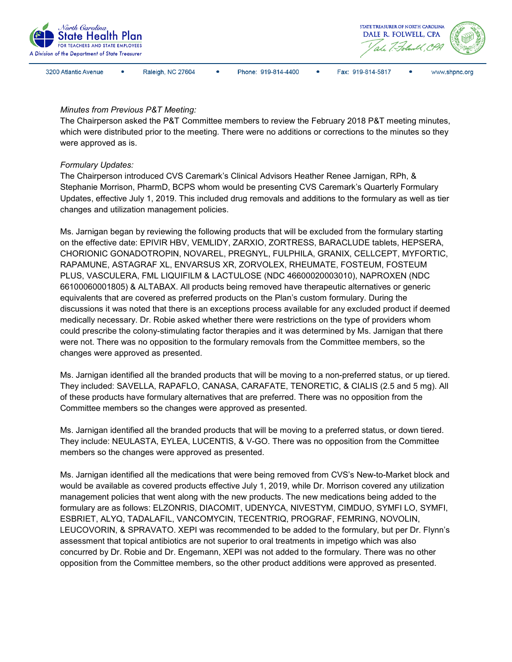

3200 Atlantic Avenue

Raleigh, NC 27604





Fax: 919-814-5817

#### *Minutes from Previous P&T Meeting:*

The Chairperson asked the P&T Committee members to review the February 2018 P&T meeting minutes, which were distributed prior to the meeting. There were no additions or corrections to the minutes so they were approved as is.

### *Formulary Updates:*

The Chairperson introduced CVS Caremark's Clinical Advisors Heather Renee Jarnigan, RPh, & Stephanie Morrison, PharmD, BCPS whom would be presenting CVS Caremark's Quarterly Formulary Updates, effective July 1, 2019. This included drug removals and additions to the formulary as well as tier changes and utilization management policies.

Ms. Jarnigan began by reviewing the following products that will be excluded from the formulary starting on the effective date: EPIVIR HBV, VEMLIDY, ZARXIO, ZORTRESS, BARACLUDE tablets, HEPSERA, CHORIONIC GONADOTROPIN, NOVAREL, PREGNYL, FULPHILA, GRANIX, CELLCEPT, MYFORTIC, RAPAMUNE, ASTAGRAF XL, ENVARSUS XR, ZORVOLEX, RHEUMATE, FOSTEUM, FOSTEUM PLUS, VASCULERA, FML LIQUIFILM & LACTULOSE (NDC 46600020003010), NAPROXEN (NDC 66100060001805) & ALTABAX. All products being removed have therapeutic alternatives or generic equivalents that are covered as preferred products on the Plan's custom formulary. During the discussions it was noted that there is an exceptions process available for any excluded product if deemed medically necessary. Dr. Robie asked whether there were restrictions on the type of providers whom could prescribe the colony-stimulating factor therapies and it was determined by Ms. Jarnigan that there were not. There was no opposition to the formulary removals from the Committee members, so the changes were approved as presented.

Ms. Jarnigan identified all the branded products that will be moving to a non-preferred status, or up tiered. They included: SAVELLA, RAPAFLO, CANASA, CARAFATE, TENORETIC, & CIALIS (2.5 and 5 mg). All of these products have formulary alternatives that are preferred. There was no opposition from the Committee members so the changes were approved as presented.

Ms. Jarnigan identified all the branded products that will be moving to a preferred status, or down tiered. They include: NEULASTA, EYLEA, LUCENTIS, & V-GO. There was no opposition from the Committee members so the changes were approved as presented.

Ms. Jarnigan identified all the medications that were being removed from CVS's New-to-Market block and would be available as covered products effective July 1, 2019, while Dr. Morrison covered any utilization management policies that went along with the new products. The new medications being added to the formulary are as follows: ELZONRIS, DIACOMIT, UDENYCA, NIVESTYM, CIMDUO, SYMFI LO, SYMFI, ESBRIET, ALYQ, TADALAFIL, VANCOMYCIN, TECENTRIQ, PROGRAF, FEMRING, NOVOLIN, LEUCOVORIN, & SPRAVATO. XEPI was recommended to be added to the formulary, but per Dr. Flynn's assessment that topical antibiotics are not superior to oral treatments in impetigo which was also concurred by Dr. Robie and Dr. Engemann, XEPI was not added to the formulary. There was no other opposition from the Committee members, so the other product additions were approved as presented.